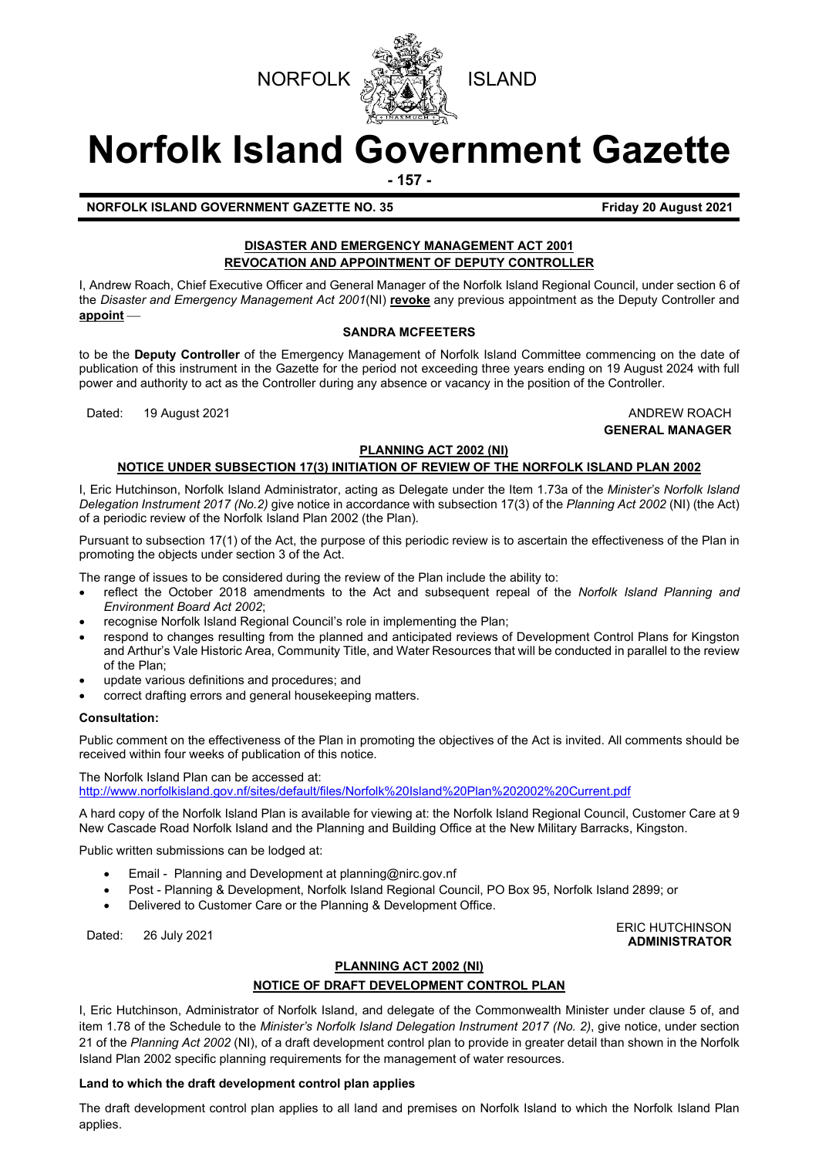



# **Norfolk Island Government Gazette**

**- 157 -**

**NORFOLK ISLAND GOVERNMENT GAZETTE NO. 35 Friday 20 August 2021**

### **DISASTER AND EMERGENCY MANAGEMENT ACT 2001 REVOCATION AND APPOINTMENT OF DEPUTY CONTROLLER**

I, Andrew Roach, Chief Executive Officer and General Manager of the Norfolk Island Regional Council, under section 6 of the *Disaster and Emergency Management Act 2001*(NI) **revoke** any previous appointment as the Deputy Controller and **appoint**

#### **SANDRA MCFEETERS**

to be the **Deputy Controller** of the Emergency Management of Norfolk Island Committee commencing on the date of publication of this instrument in the Gazette for the period not exceeding three years ending on 19 August 2024 with full power and authority to act as the Controller during any absence or vacancy in the position of the Controller.

Dated: 19 August 2021 **ANDREW ROACH** 

## **GENERAL MANAGER**

#### **PLANNING ACT 2002 (NI)**

#### **NOTICE UNDER SUBSECTION 17(3) INITIATION OF REVIEW OF THE NORFOLK ISLAND PLAN 2002**

I, Eric Hutchinson, Norfolk Island Administrator, acting as Delegate under the Item 1.73a of the *Minister's Norfolk Island Delegation Instrument 2017 (No.2)* give notice in accordance with subsection 17(3) of the *Planning Act 2002* (NI) (the Act) of a periodic review of the Norfolk Island Plan 2002 (the Plan).

Pursuant to subsection 17(1) of the Act, the purpose of this periodic review is to ascertain the effectiveness of the Plan in promoting the objects under section 3 of the Act.

The range of issues to be considered during the review of the Plan include the ability to:

- reflect the October 2018 amendments to the Act and subsequent repeal of the *Norfolk Island Planning and Environment Board Act 2002*;
- recognise Norfolk Island Regional Council's role in implementing the Plan;
- respond to changes resulting from the planned and anticipated reviews of Development Control Plans for Kingston and Arthur's Vale Historic Area, Community Title, and Water Resources that will be conducted in parallel to the review of the Plan;
- update various definitions and procedures; and
- correct drafting errors and general housekeeping matters.

#### **Consultation:**

Public comment on the effectiveness of the Plan in promoting the objectives of the Act is invited. All comments should be received within four weeks of publication of this notice.

The Norfolk Island Plan can be accessed at: <http://www.norfolkisland.gov.nf/sites/default/files/Norfolk%20Island%20Plan%202002%20Current.pdf>

A hard copy of the Norfolk Island Plan is available for viewing at: the Norfolk Island Regional Council, Customer Care at 9 New Cascade Road Norfolk Island and the Planning and Building Office at the New Military Barracks, Kingston.

Public written submissions can be lodged at:

- Email Planning and Development at [planning@nirc.gov.nf](mailto:planning@nirc.gov.nf)
- Post Planning & Development, Norfolk Island Regional Council, PO Box 95, Norfolk Island 2899; or
- Delivered to Customer Care or the Planning & Development Office.

ERIC HUTCHINSON يستعد المستقلة المستقلة التي تعليم المستقلة التي تعليم المستقلة التي تعليم المستقلة التي تعليم<br>هم المستقلة التي تعليم المستقلة التي تعليم التي تعليم التي تعليم التي تعليم التي تعليم التي تعليم التي تعليم ا **ADMINISTRATOR**

### **PLANNING ACT 2002 (NI)**

#### **NOTICE OF DRAFT DEVELOPMENT CONTROL PLAN**

I, Eric Hutchinson, Administrator of Norfolk Island, and delegate of the Commonwealth Minister under clause 5 of, and item 1.78 of the Schedule to the *Minister's Norfolk Island Delegation Instrument 2017 (No. 2)*, give notice, under section 21 of the *Planning Act 2002* (NI), of a draft development control plan to provide in greater detail than shown in the Norfolk Island Plan 2002 specific planning requirements for the management of water resources.

#### **Land to which the draft development control plan applies**

The draft development control plan applies to all land and premises on Norfolk Island to which the Norfolk Island Plan applies.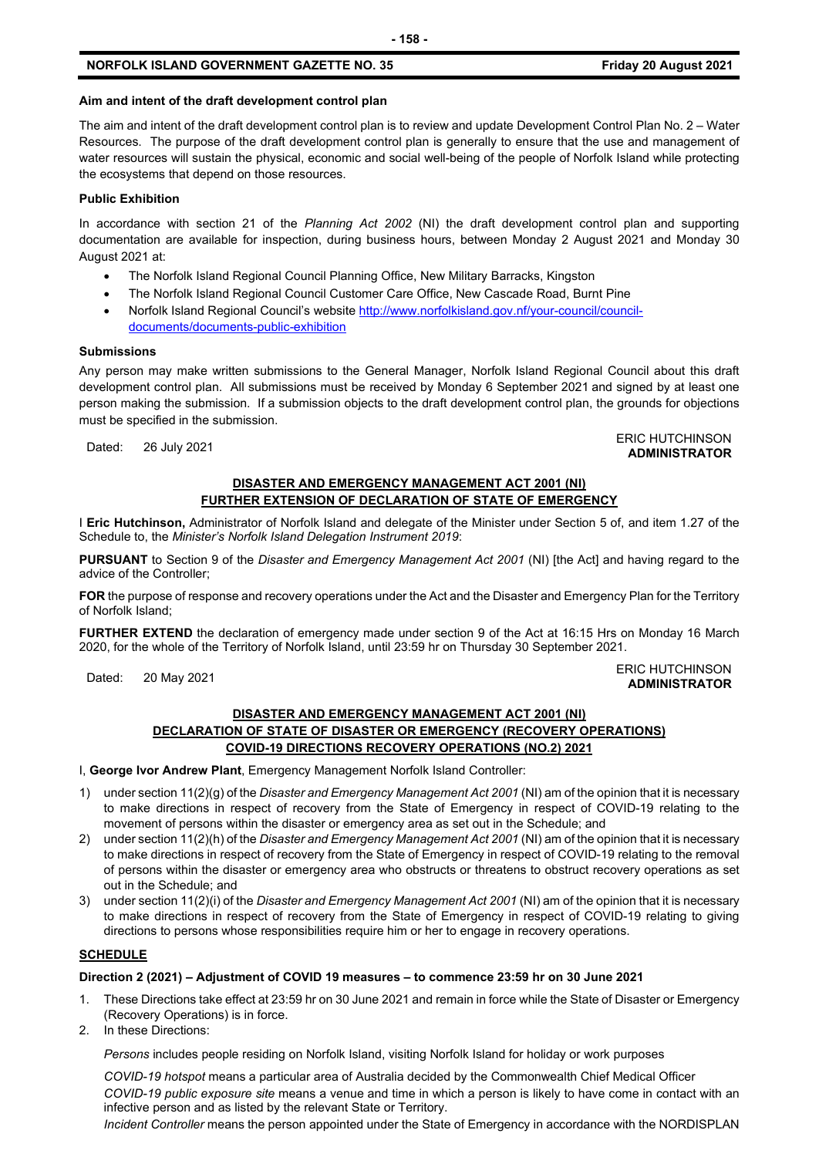#### **NORFOLK ISLAND GOVERNMENT GAZETTE NO. 35 Friday 20 August 2021**

#### **Aim and intent of the draft development control plan**

The aim and intent of the draft development control plan is to review and update Development Control Plan No. 2 – Water Resources. The purpose of the draft development control plan is generally to ensure that the use and management of water resources will sustain the physical, economic and social well-being of the people of Norfolk Island while protecting the ecosystems that depend on those resources.

#### **Public Exhibition**

In accordance with section 21 of the *Planning Act 2002* (NI) the draft development control plan and supporting documentation are available for inspection, during business hours, between Monday 2 August 2021 and Monday 30 August 2021 at:

- The Norfolk Island Regional Council Planning Office, New Military Barracks, Kingston
- The Norfolk Island Regional Council Customer Care Office, New Cascade Road, Burnt Pine
- Norfolk Island Regional Council's website [http://www.norfolkisland.gov.nf/your-council/council](http://www.norfolkisland.gov.nf/your-council/council-documents/documents-public-exhibition)[documents/documents-public-exhibition](http://www.norfolkisland.gov.nf/your-council/council-documents/documents-public-exhibition)

#### **Submissions**

Any person may make written submissions to the General Manager, Norfolk Island Regional Council about this draft development control plan. All submissions must be received by Monday 6 September 2021 and signed by at least one person making the submission. If a submission objects to the draft development control plan, the grounds for objections must be specified in the submission.

#### Dated: 26 July 2021<br>Dated: 26 July 2021 **ADMINISTRATOR**

#### **DISASTER AND EMERGENCY MANAGEMENT ACT 2001 (NI) FURTHER EXTENSION OF DECLARATION OF STATE OF EMERGENCY**

I **Eric Hutchinson,** Administrator of Norfolk Island and delegate of the Minister under Section 5 of, and item 1.27 of the Schedule to, the *Minister's Norfolk Island Delegation Instrument 2019*:

**PURSUANT** to Section 9 of the *Disaster and Emergency Management Act 2001* (NI) [the Act] and having regard to the advice of the Controller;

**FOR** the purpose of response and recovery operations under the Act and the Disaster and Emergency Plan for the Territory of Norfolk Island;

**FURTHER EXTEND** the declaration of emergency made under section 9 of the Act at 16:15 Hrs on Monday 16 March 2020, for the whole of the Territory of Norfolk Island, until 23:59 hr on Thursday 30 September 2021.

#### Dated: 20 May 2021<br>Dated: 20 May 2021 **ADMINISTRATOR**

#### **DISASTER AND EMERGENCY MANAGEMENT ACT 2001 (NI) DECLARATION OF STATE OF DISASTER OR EMERGENCY (RECOVERY OPERATIONS) COVID-19 DIRECTIONS RECOVERY OPERATIONS (NO.2) 2021**

I, **George Ivor Andrew Plant**, Emergency Management Norfolk Island Controller:

- 1) under section 11(2)(g) of the *Disaster and Emergency Management Act 2001* (NI) am of the opinion that it is necessary to make directions in respect of recovery from the State of Emergency in respect of COVID-19 relating to the movement of persons within the disaster or emergency area as set out in the Schedule; and
- 2) under section 11(2)(h) of the *Disaster and Emergency Management Act 2001* (NI) am of the opinion that it is necessary to make directions in respect of recovery from the State of Emergency in respect of COVID-19 relating to the removal of persons within the disaster or emergency area who obstructs or threatens to obstruct recovery operations as set out in the Schedule; and
- 3) under section 11(2)(i) of the *Disaster and Emergency Management Act 2001* (NI) am of the opinion that it is necessary to make directions in respect of recovery from the State of Emergency in respect of COVID-19 relating to giving directions to persons whose responsibilities require him or her to engage in recovery operations.

#### **SCHEDULE**

#### **Direction 2 (2021) – Adjustment of COVID 19 measures – to commence 23:59 hr on 30 June 2021**

- 1. These Directions take effect at 23:59 hr on 30 June 2021 and remain in force while the State of Disaster or Emergency (Recovery Operations) is in force.
- 2. In these Directions:

*Persons* includes people residing on Norfolk Island, visiting Norfolk Island for holiday or work purposes

*COVID-19 hotspot* means a particular area of Australia decided by the Commonwealth Chief Medical Officer *COVID-19 public exposure site* means a venue and time in which a person is likely to have come in contact with an infective person and as listed by the relevant State or Territory.

*Incident Controller* means the person appointed under the State of Emergency in accordance with the NORDISPLAN